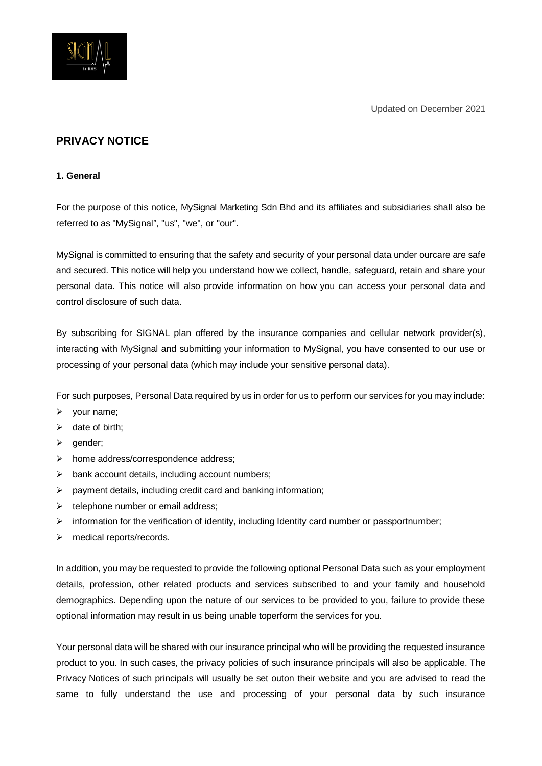

# **PRIVACY NOTICE**

#### **1. General**

For the purpose of this notice, MySignal Marketing Sdn Bhd and its affiliates and subsidiaries shall also be referred to as "MySignal", "us", "we", or "our".

MySignal is committed to ensuring that the safety and security of your personal data under ourcare are safe and secured. This notice will help you understand how we collect, handle, safeguard, retain and share your personal data. This notice will also provide information on how you can access your personal data and control disclosure of such data.

By subscribing for SIGNAL plan offered by the insurance companies and cellular network provider(s), interacting with MySignal and submitting your information to MySignal, you have consented to our use or processing of your personal data (which may include your sensitive personal data).

For such purposes, Personal Data required by us in order for us to perform our services for you may include:

- $\triangleright$  your name;
- $\triangleright$  date of birth;
- $\triangleright$  gender;
- $\triangleright$  home address/correspondence address;
- $\triangleright$  bank account details, including account numbers;
- $\triangleright$  payment details, including credit card and banking information;
- $\triangleright$  telephone number or email address;
- $\triangleright$  information for the verification of identity, including Identity card number or passportnumber;
- > medical reports/records.

In addition, you may be requested to provide the following optional Personal Data such as your employment details, profession, other related products and services subscribed to and your family and household demographics. Depending upon the nature of our services to be provided to you, failure to provide these optional information may result in us being unable toperform the services for you.

Your personal data will be shared with our insurance principal who will be providing the requested insurance product to you. In such cases, the privacy policies of such insurance principals will also be applicable. The Privacy Notices of such principals will usually be set outon their website and you are advised to read the same to fully understand the use and processing of your personal data by such insurance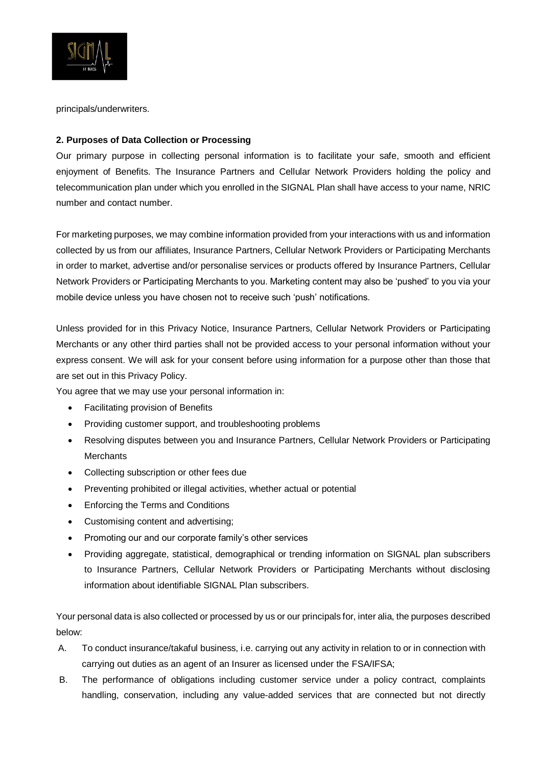

principals/underwriters.

## **2. Purposes of Data Collection or Processing**

Our primary purpose in collecting personal information is to facilitate your safe, smooth and efficient enjoyment of Benefits. The Insurance Partners and Cellular Network Providers holding the policy and telecommunication plan under which you enrolled in the SIGNAL Plan shall have access to your name, NRIC number and contact number.

For marketing purposes, we may combine information provided from your interactions with us and information collected by us from our affiliates, Insurance Partners, Cellular Network Providers or Participating Merchants in order to market, advertise and/or personalise services or products offered by Insurance Partners, Cellular Network Providers or Participating Merchants to you. Marketing content may also be 'pushed' to you via your mobile device unless you have chosen not to receive such 'push' notifications.

Unless provided for in this Privacy Notice, Insurance Partners, Cellular Network Providers or Participating Merchants or any other third parties shall not be provided access to your personal information without your express consent. We will ask for your consent before using information for a purpose other than those that are set out in this Privacy Policy.

You agree that we may use your personal information in:

- Facilitating provision of Benefits
- Providing customer support, and troubleshooting problems
- Resolving disputes between you and Insurance Partners, Cellular Network Providers or Participating **Merchants**
- Collecting subscription or other fees due
- Preventing prohibited or illegal activities, whether actual or potential
- Enforcing the Terms and Conditions
- Customising content and advertising;
- Promoting our and our corporate family's other services
- Providing aggregate, statistical, demographical or trending information on SIGNAL plan subscribers to Insurance Partners, Cellular Network Providers or Participating Merchants without disclosing information about identifiable SIGNAL Plan subscribers.

Your personal data is also collected or processed by us or our principals for, inter alia, the purposes described below:

- A. To conduct insurance/takaful business, i.e. carrying out any activity in relation to or in connection with carrying out duties as an agent of an Insurer as licensed under the FSA/IFSA;
- B. The performance of obligations including customer service under a policy contract, complaints handling, conservation, including any value-added services that are connected but not directly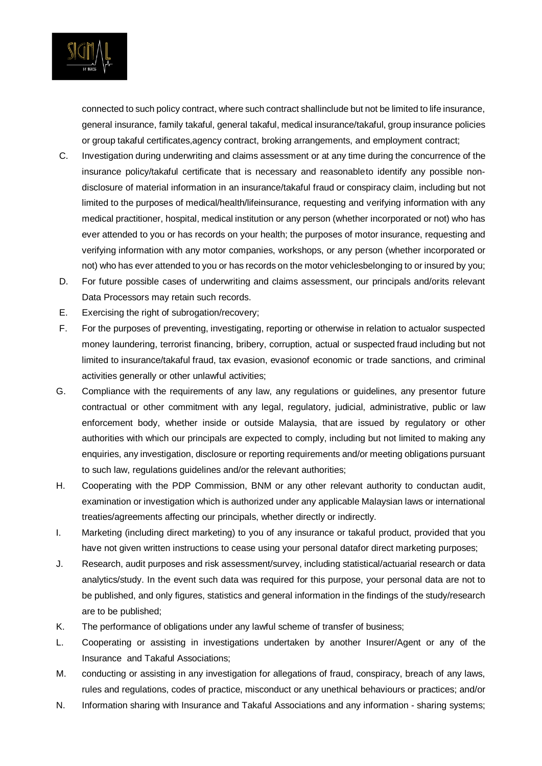

connected to such policy contract, where such contract shallinclude but not be limited to life insurance, general insurance, family takaful, general takaful, medical insurance/takaful, group insurance policies or group takaful certificates,agency contract, broking arrangements, and employment contract;

- C. Investigation during underwriting and claims assessment or at any time during the concurrence of the insurance policy/takaful certificate that is necessary and reasonableto identify any possible nondisclosure of material information in an insurance/takaful fraud or conspiracy claim, including but not limited to the purposes of medical/health/lifeinsurance, requesting and verifying information with any medical practitioner, hospital, medical institution or any person (whether incorporated or not) who has ever attended to you or has records on your health; the purposes of motor insurance, requesting and verifying information with any motor companies, workshops, or any person (whether incorporated or not) who has ever attended to you or has records on the motor vehiclesbelonging to or insured by you;
- D. For future possible cases of underwriting and claims assessment, our principals and/orits relevant Data Processors may retain such records.
- E. Exercising the right of subrogation/recovery;
- F. For the purposes of preventing, investigating, reporting or otherwise in relation to actualor suspected money laundering, terrorist financing, bribery, corruption, actual or suspected fraud including but not limited to insurance/takaful fraud, tax evasion, evasionof economic or trade sanctions, and criminal activities generally or other unlawful activities;
- G. Compliance with the requirements of any law, any regulations or guidelines, any presentor future contractual or other commitment with any legal, regulatory, judicial, administrative, public or law enforcement body, whether inside or outside Malaysia, that are issued by regulatory or other authorities with which our principals are expected to comply, including but not limited to making any enquiries, any investigation, disclosure or reporting requirements and/or meeting obligations pursuant to such law, regulations guidelines and/or the relevant authorities;
- H. Cooperating with the PDP Commission, BNM or any other relevant authority to conductan audit, examination or investigation which is authorized under any applicable Malaysian laws or international treaties/agreements affecting our principals, whether directly or indirectly.
- I. Marketing (including direct marketing) to you of any insurance or takaful product, provided that you have not given written instructions to cease using your personal datafor direct marketing purposes;
- J. Research, audit purposes and risk assessment/survey, including statistical/actuarial research or data analytics/study. In the event such data was required for this purpose, your personal data are not to be published, and only figures, statistics and general information in the findings of the study/research are to be published;
- K. The performance of obligations under any lawful scheme of transfer of business;
- L. Cooperating or assisting in investigations undertaken by another Insurer/Agent or any of the Insurance and Takaful Associations;
- M. conducting or assisting in any investigation for allegations of fraud, conspiracy, breach of any laws, rules and regulations, codes of practice, misconduct or any unethical behaviours or practices; and/or
- N. Information sharing with Insurance and Takaful Associations and any information sharing systems;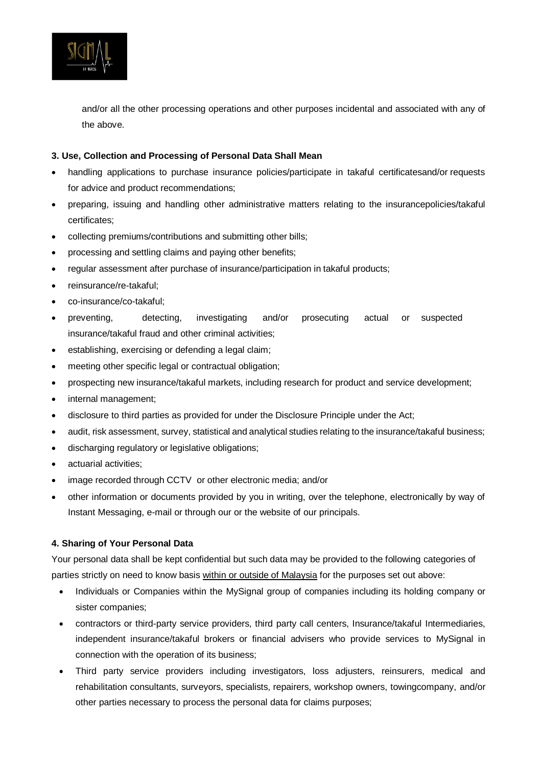

and/or all the other processing operations and other purposes incidental and associated with any of the above.

#### **3. Use, Collection and Processing of Personal Data Shall Mean**

- handling applications to purchase insurance policies/participate in takaful certificatesand/or requests for advice and product recommendations;
- preparing, issuing and handling other administrative matters relating to the insurancepolicies/takaful certificates;
- collecting premiums/contributions and submitting other bills;
- processing and settling claims and paying other benefits;
- regular assessment after purchase of insurance/participation in takaful products;
- reinsurance/re-takaful;
- co-insurance/co-takaful;
- preventing, detecting, investigating and/or prosecuting actual or suspected insurance/takaful fraud and other criminal activities;
- establishing, exercising or defending a legal claim;
- meeting other specific legal or contractual obligation;
- prospecting new insurance/takaful markets, including research for product and service development;
- internal management;
- disclosure to third parties as provided for under the Disclosure Principle under the Act;
- audit, risk assessment, survey, statistical and analytical studies relating to the insurance/takaful business;
- discharging regulatory or legislative obligations;
- actuarial activities;
- image recorded through CCTV or other electronic media; and/or
- other information or documents provided by you in writing, over the telephone, electronically by way of Instant Messaging, e-mail or through our or the website of our principals.

#### **4. Sharing of Your Personal Data**

Your personal data shall be kept confidential but such data may be provided to the following categories of parties strictly on need to know basis within or outside of Malaysia for the purposes set out above:

- Individuals or Companies within the MySignal group of companies including its holding company or sister companies;
- contractors or third-party service providers, third party call centers, Insurance/takaful Intermediaries, independent insurance/takaful brokers or financial advisers who provide services to MySignal in connection with the operation of its business;
- Third party service providers including investigators, loss adjusters, reinsurers, medical and rehabilitation consultants, surveyors, specialists, repairers, workshop owners, towingcompany, and/or other parties necessary to process the personal data for claims purposes;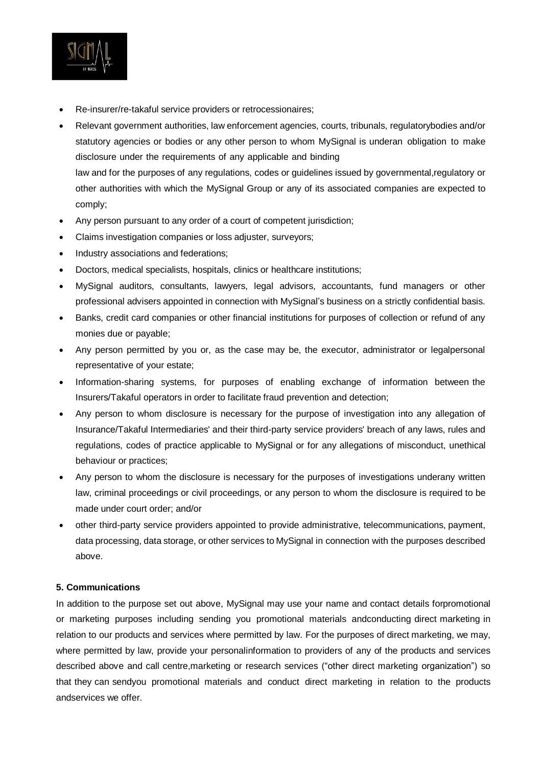

- Re-insurer/re-takaful service providers or retrocessionaires;
- Relevant government authorities, law enforcement agencies, courts, tribunals, regulatorybodies and/or statutory agencies or bodies or any other person to whom MySignal is underan obligation to make disclosure under the requirements of any applicable and binding law and for the purposes of any regulations, codes or guidelines issued by governmental,regulatory or other authorities with which the MySignal Group or any of its associated companies are expected to comply;
- Any person pursuant to any order of a court of competent jurisdiction;
- Claims investigation companies or loss adjuster, surveyors;
- Industry associations and federations;
- Doctors, medical specialists, hospitals, clinics or healthcare institutions;
- MySignal auditors, consultants, lawyers, legal advisors, accountants, fund managers or other professional advisers appointed in connection with MySignal's business on a strictly confidential basis.
- Banks, credit card companies or other financial institutions for purposes of collection or refund of any monies due or payable;
- Any person permitted by you or, as the case may be, the executor, administrator or legalpersonal representative of your estate;
- Information-sharing systems, for purposes of enabling exchange of information between the Insurers/Takaful operators in order to facilitate fraud prevention and detection;
- Any person to whom disclosure is necessary for the purpose of investigation into any allegation of Insurance/Takaful Intermediaries' and their third-party service providers' breach of any laws, rules and regulations, codes of practice applicable to MySignal or for any allegations of misconduct, unethical behaviour or practices;
- Any person to whom the disclosure is necessary for the purposes of investigations underany written law, criminal proceedings or civil proceedings, or any person to whom the disclosure is required to be made under court order; and/or
- other third-party service providers appointed to provide administrative, telecommunications, payment, data processing, data storage, or other services to MySignal in connection with the purposes described above.

### **5. Communications**

In addition to the purpose set out above, MySignal may use your name and contact details forpromotional or marketing purposes including sending you promotional materials andconducting direct marketing in relation to our products and services where permitted by law. For the purposes of direct marketing, we may, where permitted by law, provide your personalinformation to providers of any of the products and services described above and call centre,marketing or research services ("other direct marketing organization") so that they can sendyou promotional materials and conduct direct marketing in relation to the products andservices we offer.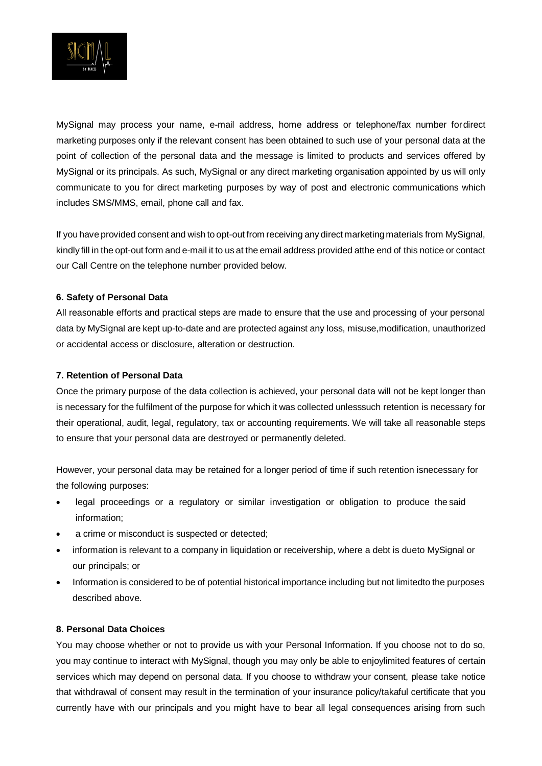

MySignal may process your name, e-mail address, home address or telephone/fax number fordirect marketing purposes only if the relevant consent has been obtained to such use of your personal data at the point of collection of the personal data and the message is limited to products and services offered by MySignal or its principals. As such, MySignal or any direct marketing organisation appointed by us will only communicate to you for direct marketing purposes by way of post and electronic communications which includes SMS/MMS, email, phone call and fax.

If you have provided consent and wish to opt-out from receiving any direct marketing materials from MySignal, kindly fill in the opt-out form and e-mail it to us at the email address provided atthe end of this notice or contact our Call Centre on the telephone number provided below.

### **6. Safety of Personal Data**

All reasonable efforts and practical steps are made to ensure that the use and processing of your personal data by MySignal are kept up-to-date and are protected against any loss, misuse,modification, unauthorized or accidental access or disclosure, alteration or destruction.

### **7. Retention of Personal Data**

Once the primary purpose of the data collection is achieved, your personal data will not be kept longer than is necessary for the fulfilment of the purpose for which it was collected unlesssuch retention is necessary for their operational, audit, legal, regulatory, tax or accounting requirements. We will take all reasonable steps to ensure that your personal data are destroyed or permanently deleted.

However, your personal data may be retained for a longer period of time if such retention isnecessary for the following purposes:

- legal proceedings or a regulatory or similar investigation or obligation to produce the said information;
- a crime or misconduct is suspected or detected;
- information is relevant to a company in liquidation or receivership, where a debt is dueto MySignal or our principals; or
- Information is considered to be of potential historical importance including but not limitedto the purposes described above.

#### **8. Personal Data Choices**

You may choose whether or not to provide us with your Personal Information. If you choose not to do so, you may continue to interact with MySignal, though you may only be able to enjoylimited features of certain services which may depend on personal data. If you choose to withdraw your consent, please take notice that withdrawal of consent may result in the termination of your insurance policy/takaful certificate that you currently have with our principals and you might have to bear all legal consequences arising from such